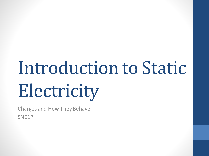# Introduction to Static Electricity

Charges and How They Behave SNC1P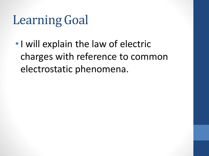### Learning Goal

•I will explain the law of electric charges with reference to common electrostatic phenomena.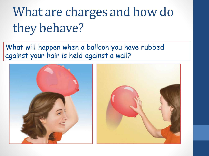## What are charges and how do they behave?

#### What will happen when a balloon you have rubbed against your hair is held against a wall?



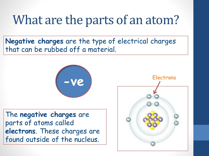#### What are the parts of an atom?

**Negative charges** are the type of electrical charges that can be rubbed off a material.



The **negative charges** are parts of atoms called **electrons**. These charges are found outside of the nucleus.

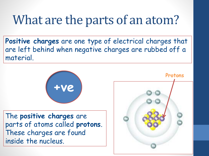#### What are the parts of an atom?

**Positive charges** are one type of electrical charges that are left behind when negative charges are rubbed off a material.



The **positive charges** are parts of atoms called **protons**. These charges are found inside the nucleus.

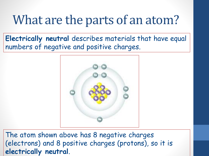#### What are the parts of an atom?

**Electrically neutral** describes materials that have equal numbers of negative and positive charges.



The atom shown above has 8 negative charges (electrons) and 8 positive charges (protons), so it is **electrically neutral**.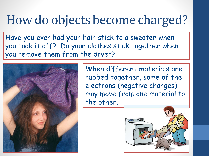#### How do objects become charged?

Have you ever had your hair stick to a sweater when you took it off? Do your clothes stick together when you remove them from the dryer?



When different materials are rubbed together, some of the electrons (negative charges) may move from one material to the other.

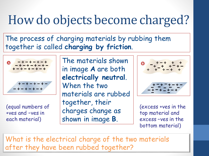#### How do objects become charged?

#### The process of charging materials by rubbing them together is called **charging by friction**.



(equal numbers of +ves and –ves in each material)

The materials shown in image **A** are both **electrically neutral**. When the two materials are rubbed together, their charges change as shown in image **B**.



(excess +ves in the top material and excess –ves in the bottom material)

What is the electrical charge of the two materials after they have been rubbed together?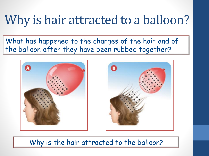#### Why is hair attracted to a balloon?

What has happened to the charges of the hair and of the balloon after they have been rubbed together?





Why is the hair attracted to the balloon?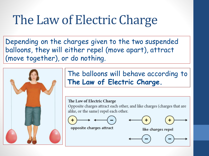### The Law of Electric Charge

Depending on the charges given to the two suspended balloons, they will either repel (move apart), attract (move together), or do nothing.



The balloons will behave according to **The Law of Electric Charge.**

#### The Law of Electric Charge

Opposite charges attract each other, and like charges (charges that are alike, or the same) repel each other.





opposite charges attract

like charges repel

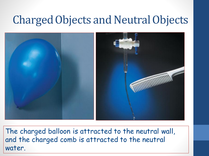#### Charged Objects and Neutral Objects



The charged balloon is attracted to the neutral wall, and the charged comb is attracted to the neutral water.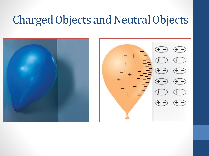#### Charged Objects and Neutral Objects